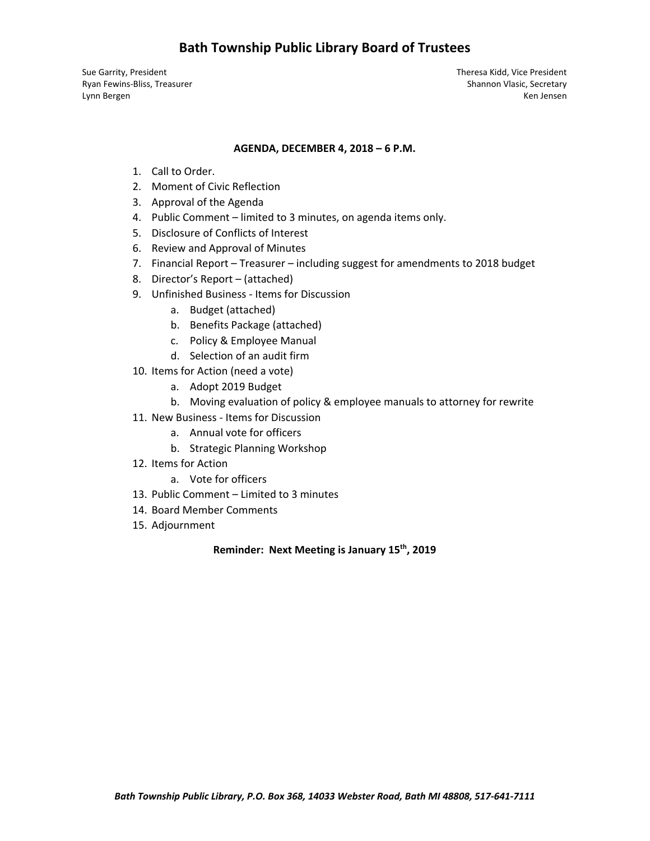# **Bath Township Public Library Board of Trustees**

Sue Garrity, President Theresa Kidd, Vice President Ryan Fewins-Bliss, Treasurer Shannon Vlasic, Secretary Shannon Vlasic, Secretary Lynn Bergen Ken Jensen

#### **AGENDA, DECEMBER 4, 2018 – 6 P.M.**

- 1. Call to Order.
- 2. Moment of Civic Reflection
- 3. Approval of the Agenda
- 4. Public Comment limited to 3 minutes, on agenda items only.
- 5. Disclosure of Conflicts of Interest
- 6. Review and Approval of Minutes
- 7. Financial Report Treasurer including suggest for amendments to 2018 budget
- 8. Director's Report (attached)
- 9. Unfinished Business ‐ Items for Discussion
	- a. Budget (attached)
	- b. Benefits Package (attached)
	- c. Policy & Employee Manual
	- d. Selection of an audit firm
- 10. Items for Action (need a vote)
	- a. Adopt 2019 Budget
	- b. Moving evaluation of policy & employee manuals to attorney for rewrite
- 11. New Business Items for Discussion
	- a. Annual vote for officers
	- b. Strategic Planning Workshop
- 12. Items for Action
	- a. Vote for officers
- 13. Public Comment Limited to 3 minutes
- 14. Board Member Comments
- 15. Adjournment

#### **Reminder: Next Meeting is January 15th, 2019**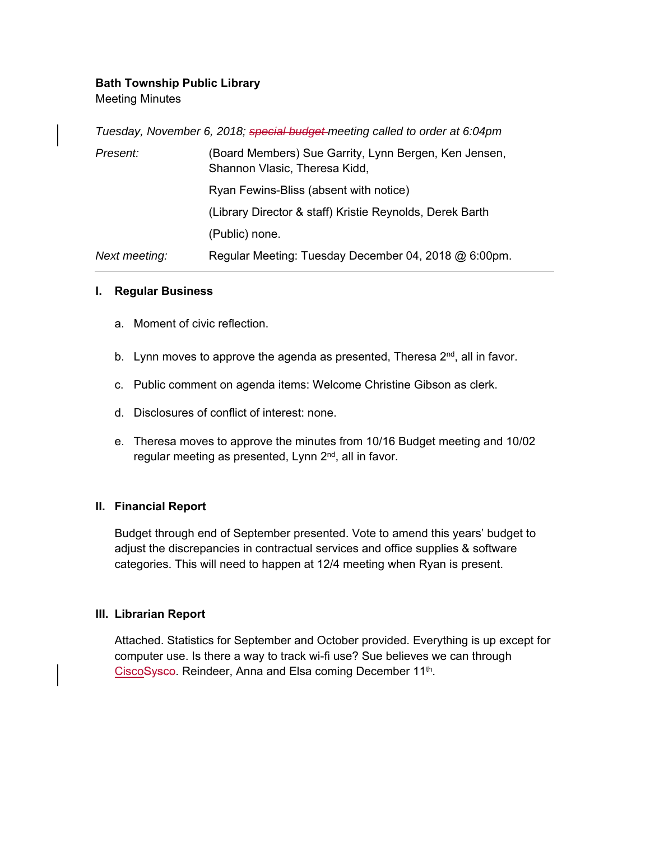### **Bath Township Public Library**

Meeting Minutes

|               | Tuesday, November 6, 2018; special budget meeting called to order at 6:04pm            |
|---------------|----------------------------------------------------------------------------------------|
| Present:      | (Board Members) Sue Garrity, Lynn Bergen, Ken Jensen,<br>Shannon Vlasic, Theresa Kidd, |
|               | Ryan Fewins-Bliss (absent with notice)                                                 |
|               | (Library Director & staff) Kristie Reynolds, Derek Barth                               |
|               | (Public) none.                                                                         |
| Next meeting: | Regular Meeting: Tuesday December 04, 2018 @ 6:00pm.                                   |

#### **I. Regular Business**

- a. Moment of civic reflection.
- b. Lynn moves to approve the agenda as presented, Theresa  $2^{nd}$ , all in favor.
- c. Public comment on agenda items: Welcome Christine Gibson as clerk.
- d. Disclosures of conflict of interest: none.
- e. Theresa moves to approve the minutes from 10/16 Budget meeting and 10/02 regular meeting as presented, Lynn 2<sup>nd</sup>, all in favor.

#### **II. Financial Report**

Budget through end of September presented. Vote to amend this years' budget to adjust the discrepancies in contractual services and office supplies & software categories. This will need to happen at 12/4 meeting when Ryan is present.

#### **III. Librarian Report**

Attached. Statistics for September and October provided. Everything is up except for computer use. Is there a way to track wi-fi use? Sue believes we can through CiscoSysco. Reindeer, Anna and Elsa coming December 11<sup>th</sup>.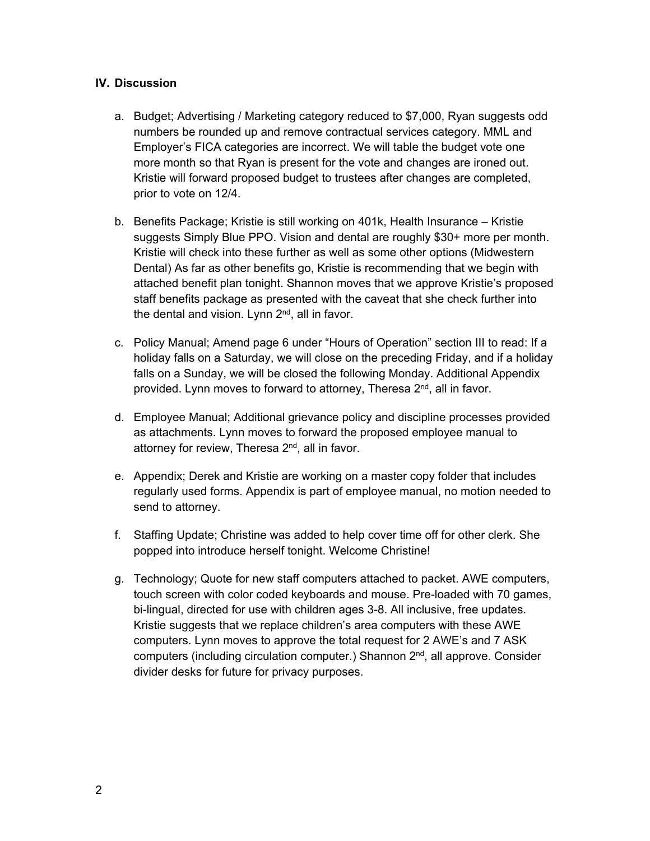### **IV. Discussion**

- a. Budget; Advertising / Marketing category reduced to \$7,000, Ryan suggests odd numbers be rounded up and remove contractual services category. MML and Employer's FICA categories are incorrect. We will table the budget vote one more month so that Ryan is present for the vote and changes are ironed out. Kristie will forward proposed budget to trustees after changes are completed, prior to vote on 12/4.
- b. Benefits Package; Kristie is still working on 401k, Health Insurance Kristie suggests Simply Blue PPO. Vision and dental are roughly \$30+ more per month. Kristie will check into these further as well as some other options (Midwestern Dental) As far as other benefits go, Kristie is recommending that we begin with attached benefit plan tonight. Shannon moves that we approve Kristie's proposed staff benefits package as presented with the caveat that she check further into the dental and vision. Lynn  $2<sup>nd</sup>$ , all in favor.
- c. Policy Manual; Amend page 6 under "Hours of Operation" section III to read: If a holiday falls on a Saturday, we will close on the preceding Friday, and if a holiday falls on a Sunday, we will be closed the following Monday. Additional Appendix provided. Lynn moves to forward to attorney, Theresa 2<sup>nd</sup>, all in favor.
- d. Employee Manual; Additional grievance policy and discipline processes provided as attachments. Lynn moves to forward the proposed employee manual to attorney for review, Theresa 2<sup>nd</sup>, all in favor.
- e. Appendix; Derek and Kristie are working on a master copy folder that includes regularly used forms. Appendix is part of employee manual, no motion needed to send to attorney.
- f. Staffing Update; Christine was added to help cover time off for other clerk. She popped into introduce herself tonight. Welcome Christine!
- g. Technology; Quote for new staff computers attached to packet. AWE computers, touch screen with color coded keyboards and mouse. Pre-loaded with 70 games, bi-lingual, directed for use with children ages 3-8. All inclusive, free updates. Kristie suggests that we replace children's area computers with these AWE computers. Lynn moves to approve the total request for 2 AWE's and 7 ASK computers (including circulation computer.) Shannon 2<sup>nd</sup>, all approve. Consider divider desks for future for privacy purposes.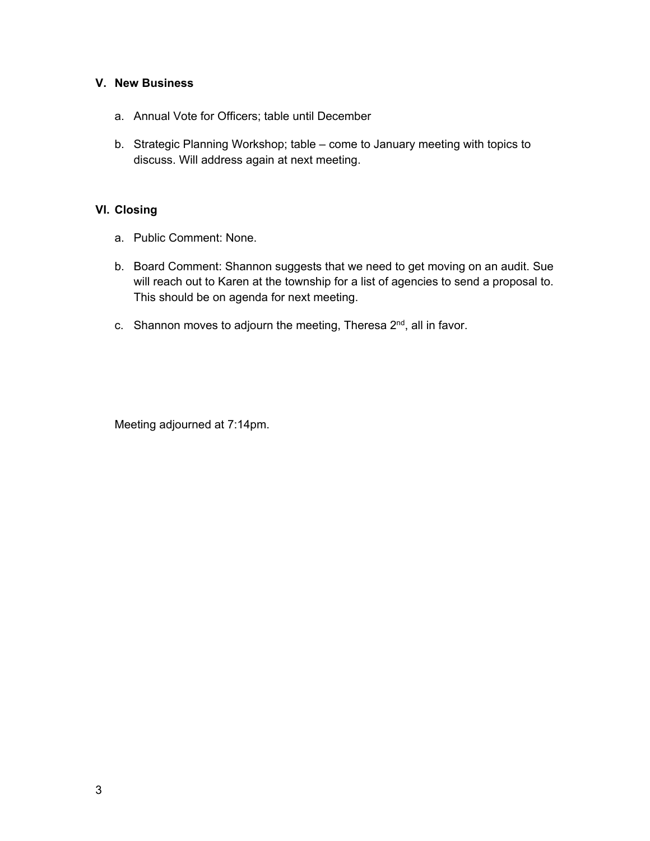### **V. New Business**

- a. Annual Vote for Officers; table until December
- b. Strategic Planning Workshop; table come to January meeting with topics to discuss. Will address again at next meeting.

## **VI. Closing**

- a. Public Comment: None.
- b. Board Comment: Shannon suggests that we need to get moving on an audit. Sue will reach out to Karen at the township for a list of agencies to send a proposal to. This should be on agenda for next meeting.
- c. Shannon moves to adjourn the meeting, Theresa 2<sup>nd</sup>, all in favor.

Meeting adjourned at 7:14pm.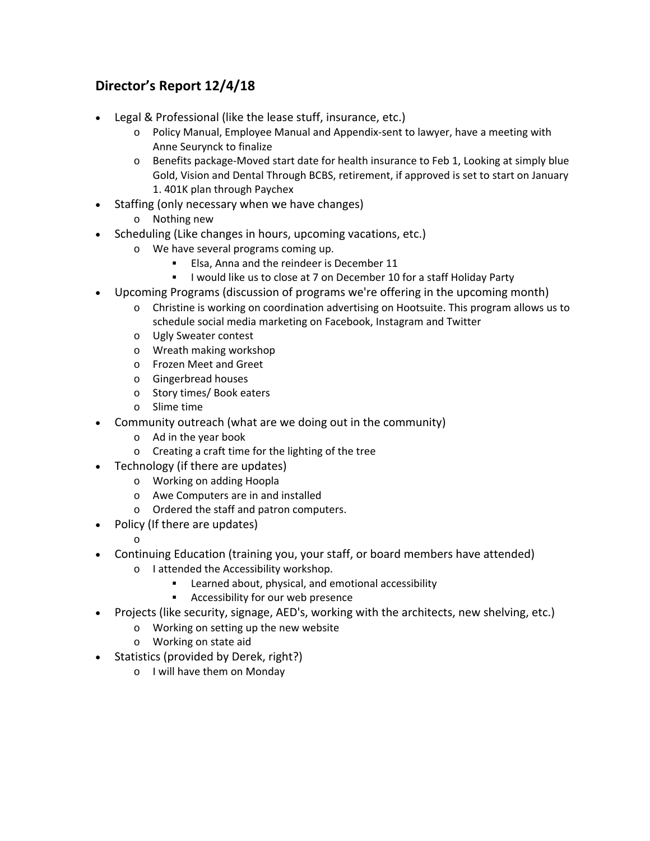# **Director's Report 12/4/18**

- Legal & Professional (like the lease stuff, insurance, etc.)
	- o Policy Manual, Employee Manual and Appendix‐sent to lawyer, have a meeting with Anne Seurynck to finalize
	- o Benefits package‐Moved start date for health insurance to Feb 1, Looking at simply blue Gold, Vision and Dental Through BCBS, retirement, if approved is set to start on January 1. 401K plan through Paychex
- Staffing (only necessary when we have changes)
	- o Nothing new
- Scheduling (Like changes in hours, upcoming vacations, etc.)
	- o We have several programs coming up.
		- **Elsa, Anna and the reindeer is December 11**
		- **I** lwould like us to close at 7 on December 10 for a staff Holiday Party
- Upcoming Programs (discussion of programs we're offering in the upcoming month)
	- o Christine is working on coordination advertising on Hootsuite. This program allows us to schedule social media marketing on Facebook, Instagram and Twitter
	- o Ugly Sweater contest
	- o Wreath making workshop
	- o Frozen Meet and Greet
	- o Gingerbread houses
	- o Story times/ Book eaters
	- o Slime time
- Community outreach (what are we doing out in the community)
	- o Ad in the year book
	- o Creating a craft time for the lighting of the tree
- Technology (if there are updates)
	- o Working on adding Hoopla
	- o Awe Computers are in and installed
	- o Ordered the staff and patron computers.
- Policy (If there are updates)

o

- Continuing Education (training you, your staff, or board members have attended)
	- o I attended the Accessibility workshop.
		- **EXEC** Learned about, physical, and emotional accessibility
		- Accessibility for our web presence
- Projects (like security, signage, AED's, working with the architects, new shelving, etc.)
	- o Working on setting up the new website
	- o Working on state aid
- Statistics (provided by Derek, right?)
	- o I will have them on Monday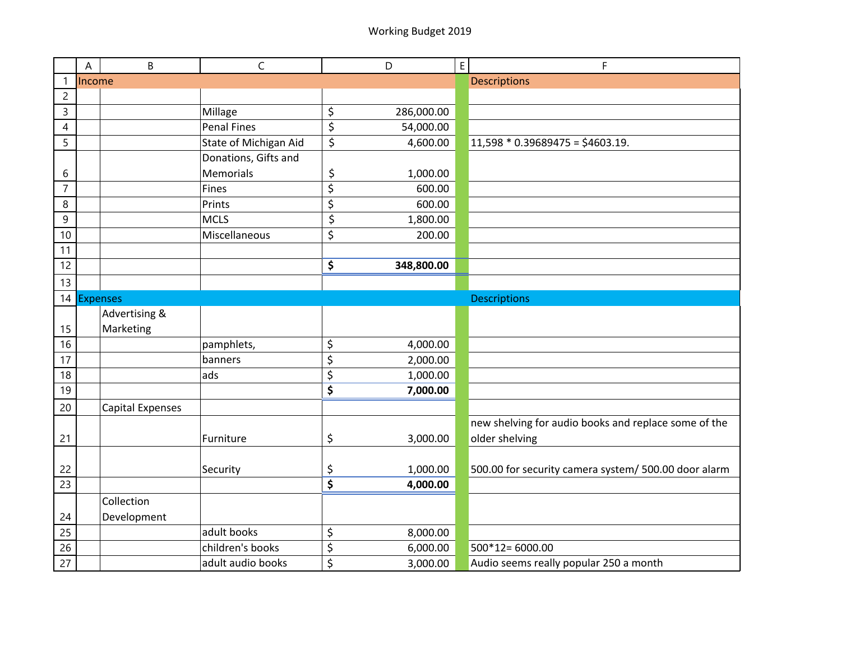|                  | Α               | B                       | $\mathsf C$           |                                 | D          | $\mathsf E$ | F                                                    |
|------------------|-----------------|-------------------------|-----------------------|---------------------------------|------------|-------------|------------------------------------------------------|
| $\mathbf{1}$     | Income          |                         |                       |                                 |            |             | <b>Descriptions</b>                                  |
| $\overline{c}$   |                 |                         |                       |                                 |            |             |                                                      |
| 3                |                 |                         | Millage               | \$                              | 286,000.00 |             |                                                      |
| $\overline{4}$   |                 |                         | <b>Penal Fines</b>    | \$                              | 54,000.00  |             |                                                      |
| 5                |                 |                         | State of Michigan Aid | $\overline{\boldsymbol{\zeta}}$ | 4,600.00   |             | $11,598 * 0.39689475 = $4603.19.$                    |
|                  |                 |                         | Donations, Gifts and  |                                 |            |             |                                                      |
| 6                |                 |                         | Memorials             | \$                              | 1,000.00   |             |                                                      |
| $\overline{7}$   |                 |                         | <b>Fines</b>          | $\overline{\boldsymbol{\zeta}}$ | 600.00     |             |                                                      |
| 8                |                 |                         | Prints                | \$                              | 600.00     |             |                                                      |
| $\boldsymbol{9}$ |                 |                         | <b>MCLS</b>           | \$                              | 1,800.00   |             |                                                      |
| 10               |                 |                         | Miscellaneous         | \$                              | 200.00     |             |                                                      |
| 11               |                 |                         |                       |                                 |            |             |                                                      |
| 12               |                 |                         |                       | \$                              | 348,800.00 |             |                                                      |
| 13               |                 |                         |                       |                                 |            |             |                                                      |
| 14               | <b>Expenses</b> |                         |                       |                                 |            |             | <b>Descriptions</b>                                  |
|                  |                 | Advertising &           |                       |                                 |            |             |                                                      |
| 15               |                 | Marketing               |                       |                                 |            |             |                                                      |
| 16               |                 |                         | pamphlets,            | \$                              | 4,000.00   |             |                                                      |
| 17               |                 |                         | banners               | \$                              | 2,000.00   |             |                                                      |
| 18               |                 |                         | ads                   | \$                              | 1,000.00   |             |                                                      |
| 19               |                 |                         |                       | \$                              | 7,000.00   |             |                                                      |
| 20               |                 | <b>Capital Expenses</b> |                       |                                 |            |             |                                                      |
|                  |                 |                         |                       |                                 |            |             | new shelving for audio books and replace some of the |
| 21               |                 |                         | Furniture             | \$                              | 3,000.00   |             | older shelving                                       |
|                  |                 |                         |                       |                                 |            |             |                                                      |
| 22               |                 |                         | Security              | \$                              | 1,000.00   |             | 500.00 for security camera system/ 500.00 door alarm |
| 23               |                 |                         |                       | \$                              | 4,000.00   |             |                                                      |
|                  |                 | Collection              |                       |                                 |            |             |                                                      |
| 24               |                 | Development             |                       |                                 |            |             |                                                      |
| 25               |                 |                         | adult books           | \$                              | 8,000.00   |             |                                                      |
| 26               |                 |                         | children's books      | \$                              | 6,000.00   |             | 500*12=6000.00                                       |
| 27               |                 |                         | adult audio books     | \$                              | 3,000.00   |             | Audio seems really popular 250 a month               |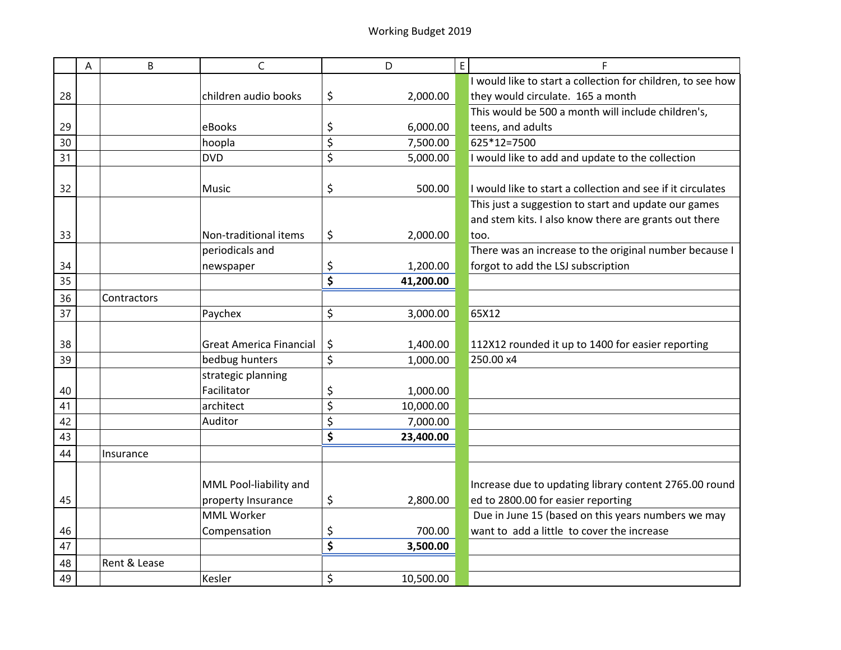|                 | A | B            | C                              |                                 | D         | E | F                                                           |
|-----------------|---|--------------|--------------------------------|---------------------------------|-----------|---|-------------------------------------------------------------|
|                 |   |              |                                |                                 |           |   | I would like to start a collection for children, to see how |
| 28              |   |              | children audio books           | \$                              | 2,000.00  |   | they would circulate. 165 a month                           |
|                 |   |              |                                |                                 |           |   | This would be 500 a month will include children's,          |
| 29              |   |              | eBooks                         | \$                              | 6,000.00  |   | teens, and adults                                           |
| 30              |   |              | hoopla                         | \$                              | 7,500.00  |   | 625*12=7500                                                 |
| 31              |   |              | <b>DVD</b>                     | \$                              | 5,000.00  |   | I would like to add and update to the collection            |
|                 |   |              |                                |                                 |           |   |                                                             |
| 32              |   |              | Music                          | \$                              | 500.00    |   | I would like to start a collection and see if it circulates |
|                 |   |              |                                |                                 |           |   | This just a suggestion to start and update our games        |
|                 |   |              |                                |                                 |           |   | and stem kits. I also know there are grants out there       |
| 33              |   |              | Non-traditional items          | \$                              | 2,000.00  |   | too.                                                        |
|                 |   |              | periodicals and                |                                 |           |   | There was an increase to the original number because I      |
| 34              |   |              | newspaper                      | \$                              | 1,200.00  |   | forgot to add the LSJ subscription                          |
| $\overline{35}$ |   |              |                                | $\overline{\boldsymbol{\zeta}}$ | 41,200.00 |   |                                                             |
| 36              |   | Contractors  |                                |                                 |           |   |                                                             |
| $\overline{37}$ |   |              | Paychex                        | \$                              | 3,000.00  |   | 65X12                                                       |
| 38              |   |              | <b>Great America Financial</b> | \$                              | 1,400.00  |   | 112X12 rounded it up to 1400 for easier reporting           |
| 39              |   |              | bedbug hunters                 | \$                              | 1,000.00  |   | 250.00 x4                                                   |
|                 |   |              | strategic planning             |                                 |           |   |                                                             |
| 40              |   |              | Facilitator                    | \$                              | 1,000.00  |   |                                                             |
| 41              |   |              | architect                      | \$                              | 10,000.00 |   |                                                             |
| 42              |   |              | Auditor                        | \$                              | 7,000.00  |   |                                                             |
| 43              |   |              |                                | \$                              | 23,400.00 |   |                                                             |
| 44              |   | Insurance    |                                |                                 |           |   |                                                             |
|                 |   |              |                                |                                 |           |   |                                                             |
|                 |   |              | MML Pool-liability and         |                                 |           |   | Increase due to updating library content 2765.00 round      |
| 45              |   |              | property Insurance             | \$                              | 2,800.00  |   | ed to 2800.00 for easier reporting                          |
|                 |   |              | <b>MML Worker</b>              |                                 |           |   | Due in June 15 (based on this years numbers we may          |
| 46              |   |              | Compensation                   | \$                              | 700.00    |   | want to add a little to cover the increase                  |
| 47              |   |              |                                | \$                              | 3,500.00  |   |                                                             |
| 48              |   | Rent & Lease |                                |                                 |           |   |                                                             |
| 49              |   |              | Kesler                         | \$                              | 10,500.00 |   |                                                             |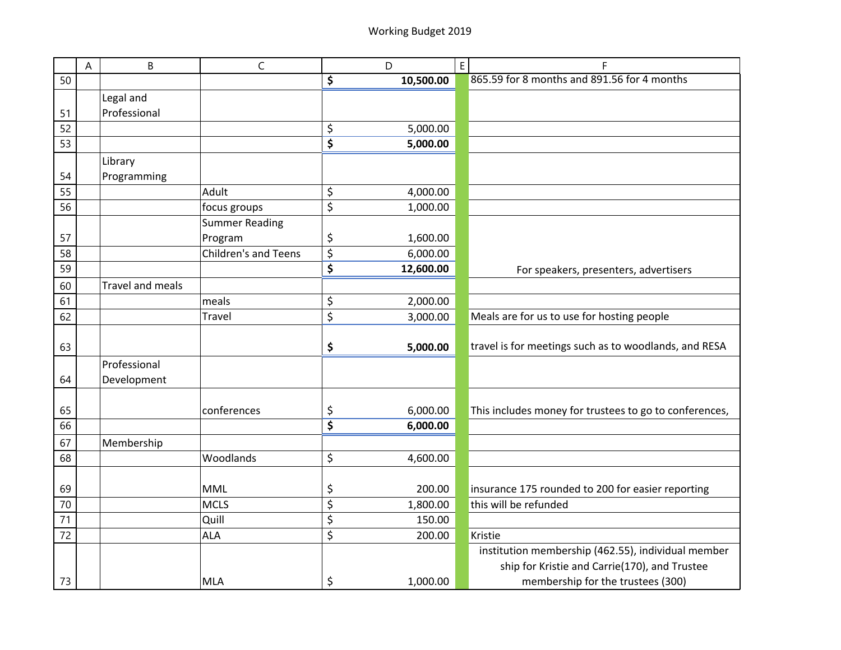|    | A | B                       | $\mathsf C$           | D               | $\mathsf E$ | F                                                      |
|----|---|-------------------------|-----------------------|-----------------|-------------|--------------------------------------------------------|
| 50 |   |                         |                       | \$<br>10,500.00 |             | 865.59 for 8 months and 891.56 for 4 months            |
|    |   | Legal and               |                       |                 |             |                                                        |
| 51 |   | Professional            |                       |                 |             |                                                        |
| 52 |   |                         |                       | \$<br>5,000.00  |             |                                                        |
| 53 |   |                         |                       | \$<br>5,000.00  |             |                                                        |
|    |   | Library                 |                       |                 |             |                                                        |
| 54 |   | Programming             |                       |                 |             |                                                        |
| 55 |   |                         | Adult                 | \$<br>4,000.00  |             |                                                        |
| 56 |   |                         | focus groups          | \$<br>1,000.00  |             |                                                        |
|    |   |                         | <b>Summer Reading</b> |                 |             |                                                        |
| 57 |   |                         | Program               | \$<br>1,600.00  |             |                                                        |
| 58 |   |                         | Children's and Teens  | \$<br>6,000.00  |             |                                                        |
| 59 |   |                         |                       | \$<br>12,600.00 |             | For speakers, presenters, advertisers                  |
| 60 |   | <b>Travel and meals</b> |                       |                 |             |                                                        |
| 61 |   |                         | meals                 | \$<br>2,000.00  |             |                                                        |
| 62 |   |                         | <b>Travel</b>         | \$<br>3,000.00  |             | Meals are for us to use for hosting people             |
|    |   |                         |                       |                 |             |                                                        |
| 63 |   |                         |                       | \$<br>5,000.00  |             | travel is for meetings such as to woodlands, and RESA  |
|    |   | Professional            |                       |                 |             |                                                        |
| 64 |   | Development             |                       |                 |             |                                                        |
|    |   |                         |                       |                 |             |                                                        |
| 65 |   |                         | conferences           | \$<br>6,000.00  |             | This includes money for trustees to go to conferences, |
| 66 |   |                         |                       | \$<br>6,000.00  |             |                                                        |
| 67 |   | Membership              |                       |                 |             |                                                        |
| 68 |   |                         | Woodlands             | \$<br>4,600.00  |             |                                                        |
|    |   |                         |                       |                 |             |                                                        |
| 69 |   |                         | <b>MML</b>            | \$<br>200.00    |             | insurance 175 rounded to 200 for easier reporting      |
| 70 |   |                         | <b>MCLS</b>           | \$<br>1,800.00  |             | this will be refunded                                  |
| 71 |   |                         | Quill                 | \$<br>150.00    |             |                                                        |
| 72 |   |                         | <b>ALA</b>            | \$<br>200.00    |             | Kristie                                                |
|    |   |                         |                       |                 |             | institution membership (462.55), individual member     |
|    |   |                         |                       |                 |             | ship for Kristie and Carrie(170), and Trustee          |
| 73 |   |                         | <b>MLA</b>            | \$<br>1,000.00  |             | membership for the trustees (300)                      |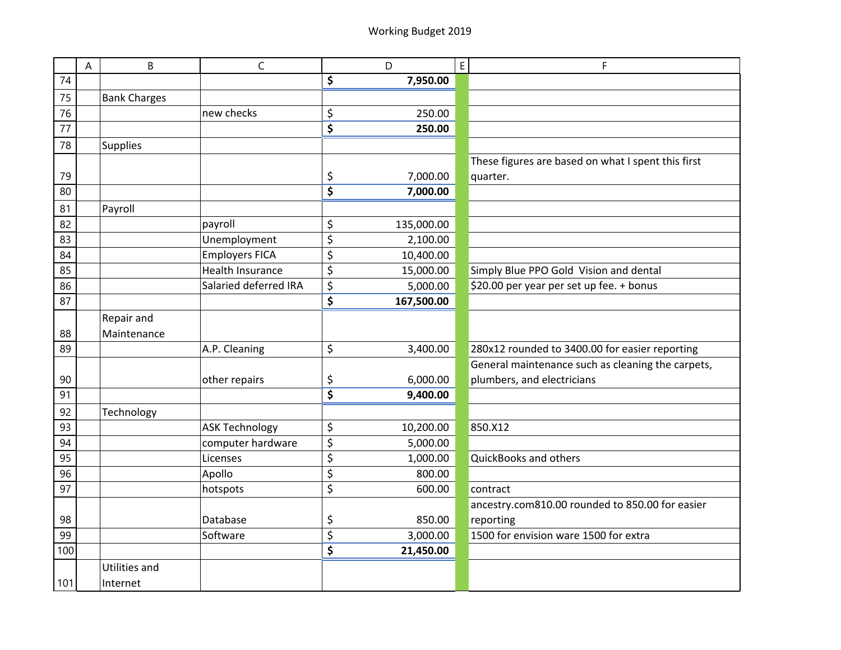|                 | A | B                   | $\mathsf{C}$            | D                | $\mathsf{E}% _{0}\left( \mathsf{E}\right)$<br>F    |
|-----------------|---|---------------------|-------------------------|------------------|----------------------------------------------------|
| 74              |   |                     |                         | \$<br>7,950.00   |                                                    |
| 75              |   | <b>Bank Charges</b> |                         |                  |                                                    |
| 76              |   |                     | new checks              | \$<br>250.00     |                                                    |
| 77              |   |                     |                         | \$<br>250.00     |                                                    |
| 78              |   | Supplies            |                         |                  |                                                    |
|                 |   |                     |                         |                  | These figures are based on what I spent this first |
| 79              |   |                     |                         | \$<br>7,000.00   | quarter.                                           |
| 80              |   |                     |                         | \$<br>7,000.00   |                                                    |
| 81              |   | Payroll             |                         |                  |                                                    |
| 82              |   |                     | payroll                 | \$<br>135,000.00 |                                                    |
| 83              |   |                     | Unemployment            | \$<br>2,100.00   |                                                    |
| 84              |   |                     | <b>Employers FICA</b>   | \$<br>10,400.00  |                                                    |
| 85              |   |                     | <b>Health Insurance</b> | \$<br>15,000.00  | Simply Blue PPO Gold Vision and dental             |
| 86              |   |                     | Salaried deferred IRA   | \$<br>5,000.00   | \$20.00 per year per set up fee. + bonus           |
| 87              |   |                     |                         | \$<br>167,500.00 |                                                    |
|                 |   | Repair and          |                         |                  |                                                    |
| 88              |   | Maintenance         |                         |                  |                                                    |
| 89              |   |                     | A.P. Cleaning           | \$<br>3,400.00   | 280x12 rounded to 3400.00 for easier reporting     |
|                 |   |                     |                         |                  | General maintenance such as cleaning the carpets,  |
| 90              |   |                     | other repairs           | \$<br>6,000.00   | plumbers, and electricians                         |
| 91              |   |                     |                         | \$<br>9,400.00   |                                                    |
| 92              |   | Technology          |                         |                  |                                                    |
| 93              |   |                     | <b>ASK Technology</b>   | \$<br>10,200.00  | 850.X12                                            |
| 94              |   |                     | computer hardware       | \$<br>5,000.00   |                                                    |
| $\overline{95}$ |   |                     | Licenses                | \$<br>1,000.00   | QuickBooks and others                              |
| 96              |   |                     | Apollo                  | \$<br>800.00     |                                                    |
| 97              |   |                     | hotspots                | \$<br>600.00     | contract                                           |
|                 |   |                     |                         |                  | ancestry.com810.00 rounded to 850.00 for easier    |
| 98              |   |                     | Database                | \$<br>850.00     | reporting                                          |
| 99              |   |                     | Software                | \$<br>3,000.00   | 1500 for envision ware 1500 for extra              |
| 100             |   |                     |                         | \$<br>21,450.00  |                                                    |
|                 |   | Utilities and       |                         |                  |                                                    |
| 101             |   | Internet            |                         |                  |                                                    |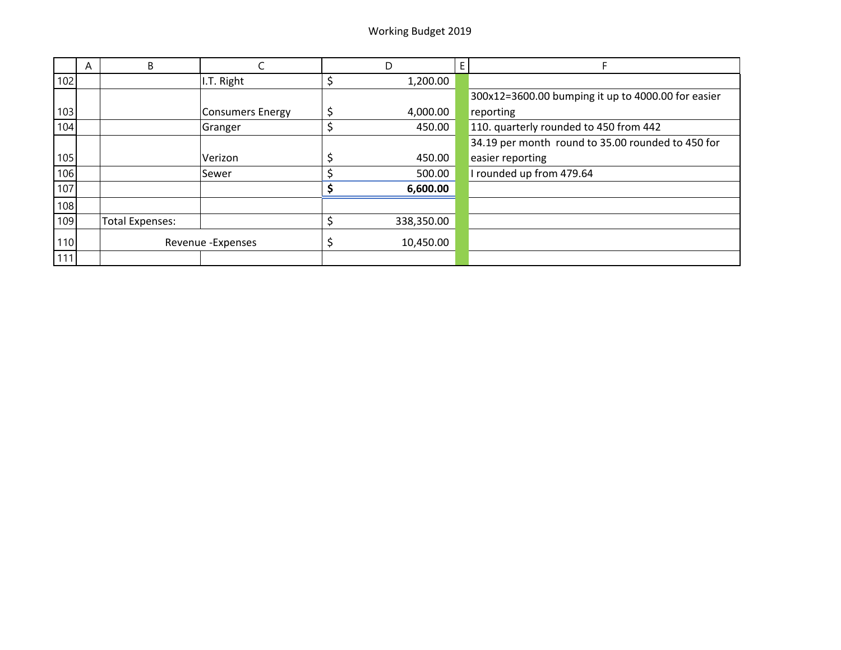|     | A | B                      |                         | D |            |                                                    |
|-----|---|------------------------|-------------------------|---|------------|----------------------------------------------------|
| 102 |   |                        | I.T. Right              |   | 1,200.00   |                                                    |
|     |   |                        |                         |   |            | 300x12=3600.00 bumping it up to 4000.00 for easier |
| 103 |   |                        | <b>Consumers Energy</b> |   | 4,000.00   | reporting                                          |
| 104 |   |                        | Granger                 |   | 450.00     | 110. quarterly rounded to 450 from 442             |
|     |   |                        |                         |   |            | 34.19 per month round to 35.00 rounded to 450 for  |
| 105 |   |                        | Verizon                 |   | 450.00     | easier reporting                                   |
| 106 |   |                        | Sewer                   |   | 500.00     | I rounded up from 479.64                           |
| 107 |   |                        |                         |   | 6,600.00   |                                                    |
| 108 |   |                        |                         |   |            |                                                    |
| 109 |   | <b>Total Expenses:</b> |                         |   | 338,350.00 |                                                    |
| 110 |   |                        | Revenue - Expenses      |   | 10,450.00  |                                                    |
| 111 |   |                        |                         |   |            |                                                    |